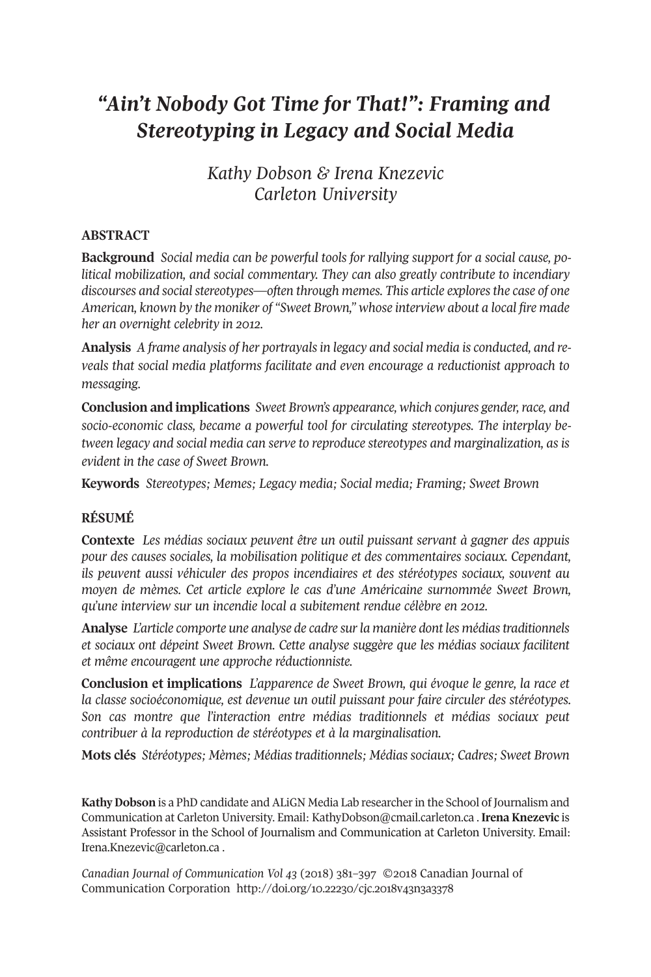# *"Ain't Nobody Got Time for That!": Framing and Stereotyping in Legacy and Social Media*

# *Kathy Dobson & Irena Knezevic Carleton University*

# **ABSTRACT**

**Background** *Social media can be powerful tools for rallying support for a social cause, political mobilization, and social commentary. They can also greatly contribute to incendiary discourses and socialstereotypes—often through memes. This article exploresthe case of one American, known by the moniker of "Sweet Brown," whose interview about a local fire made her an overnight celebrity in 2012.*

**Analysis** *A frame analysis of her portrayalsin legacy and social media is conducted, and reveals that social media platforms facilitate and even encourage a reductionist approach to messaging.*

**Conclusion and implications** *Sweet Brown's appearance, which conjures gender,race, and socio-economic class, became a powerful tool for circulating stereotypes. The interplay between legacy and social media can serve to reproduce stereotypes and marginalization, as is evident in the case of Sweet Brown.*

**Keywords** *Stereotypes; Memes; Legacy media; Social media; Framing; Sweet Brown*

# **RÉSUMÉ**

**Contexte** *Les médias sociaux peuvent être un outil puissant servant à gagner des appuis pour des causes sociales, la mobilisation politique et des commentaires sociaux. Cependant, ils peuvent aussi véhiculer des propos incendiaires et des stéréotypes sociaux, souvent au moyen de mèmes. Cet article explore le cas d'une Américaine surnommée Sweet Brown, qu'une interview sur un incendie local a subitement rendue célèbre en 2012.*

**Analyse** *L'article comporte une analyse de cadre surla manière dont les médiastraditionnels et sociaux ont dépeint Sweet Brown. Cette analyse suggère que les médias sociaux facilitent et même encouragent une approche réductionniste.*

**Conclusion et implications** *L'apparence de Sweet Brown, qui évoque le genre, la race et la classe socioéconomique, est devenue un outil puissant pour faire circuler des stéréotypes. Son cas montre que l'interaction entre médias traditionnels et médias sociaux peut contribuer à la reproduction de stéréotypes et à la marginalisation.*

**Mots clés** *Stéréotypes; Mèmes; Médias traditionnels; Médias sociaux; Cadres; Sweet Brown*

**Kathy Dobson** is a PhD candidate and ALiGN Media Lab researcherin the School of Journalism and Communication at Carleton University. Email: [KathyDobson@cmail.carleton.ca](mailto:KathyDobson@cmail.carleton.ca) . **Irena Knezevic** is Assistant Professor in the School of Journalism and Communication at Carleton University. Email: [Irena.Knezevic@carleton.ca](mailto:Irena.Knezevic@carleton.ca) .

*Canadian Journal of [Communication](http://www.cjc-online.ca) Vol 43* (2018) 381–397 ©2018 Canadian Journal of Communication Corporation <http://doi.org/10.22230/cjc.2018v43n3a3378>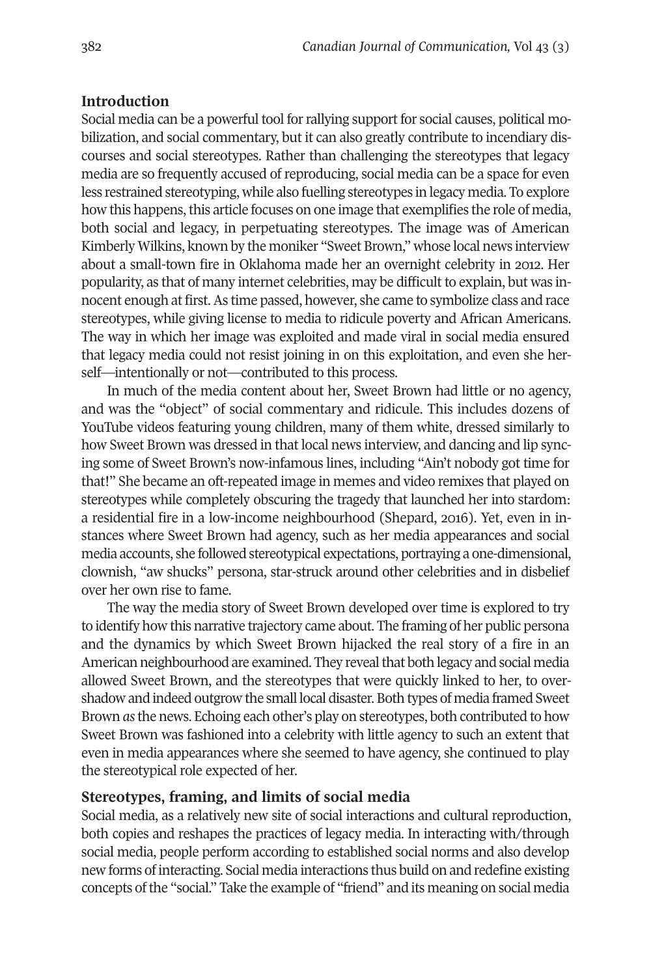# **Introduction**

Social media can be a powerful tool for rallying support for social causes, political mobilization, and social commentary, but it can also greatly contribute to incendiary discourses and social stereotypes. Rather than challenging the stereotypes that legacy media are so frequently accused of reproducing, social media can be a space for even less restrained stereotyping, while also fuelling stereotypes in legacy media. To explore how this happens, this article focuses on one image that exemplifies the role of media, both social and legacy, in perpetuating stereotypes. The image was of American Kimberly Wilkins, known by the moniker "Sweet Brown," whose local news interview about a small-town fire in Oklahoma made her an overnight celebrity in 2012. Her popularity, as that of many internet celebrities, may be difficult to explain, but was innocent enough at first.As time passed, however, she came to symbolize class and race stereotypes, while giving license to media to ridicule poverty and African Americans. The way in which her image was exploited and made viral in social media ensured that legacy media could not resist joining in on this exploitation, and even she herself—intentionally or not—contributed to this process.

In much of the media content about her, Sweet Brown had little or no agency, and was the "object" of social commentary and ridicule. This includes dozens of YouTube videos featuring young children, many of them white, dressed similarly to how Sweet Brown was dressed in that local news interview, and dancing and lip syncing some of Sweet Brown's now-infamous lines, including "Ain't nobody got time for that!" She became an oft-repeated image in memes and video remixes that played on stereotypes while completely obscuring the tragedy that launched her into stardom: a residential fire in a low-income neighbourhood (Shepard, 2016). Yet, even in instances where Sweet Brown had agency, such as her media appearances and social media accounts, she followed stereotypical expectations, portraying a one-dimensional, clownish, "aw shucks" persona, star-struck around other celebrities and in disbelief over her own rise to fame.

The way the media story of Sweet Brown developed over time is explored to try to identify how this narrative trajectory came about. The framing of her public persona and the dynamics by which Sweet Brown hijacked the real story of a fire in an American neighbourhood are examined. They reveal that both legacy and social media allowed Sweet Brown, and the stereotypes that were quickly linked to her, to overshadow and indeed outgrow the small local disaster. Both types of media framed Sweet Brown *as*the news. Echoing each other's play on stereotypes, both contributed to how Sweet Brown was fashioned into a celebrity with little agency to such an extent that even in media appearances where she seemed to have agency, she continued to play the stereotypical role expected of her.

## **Stereotypes, framing, and limits of social media**

Social media, as a relatively new site of social interactions and cultural reproduction, both copies and reshapes the practices of legacy media. In interacting with/through social media, people perform according to established social norms and also develop new forms of interacting. Social media interactions thus build on and redefine existing concepts ofthe "social." Take the example of "friend" and its meaning on social media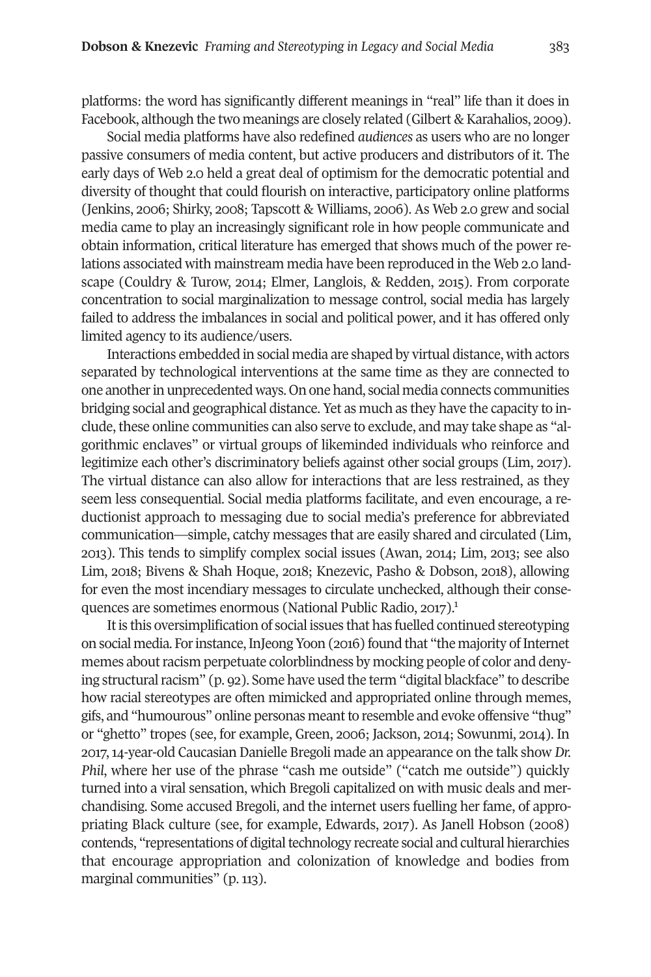platforms: the word has significantly different meanings in "real" life than it does in Facebook, although the two meanings are closely related (Gilbert & Karahalios, 2009).

Social media platforms have also redefined *audiences* as users who are no longer passive consumers of media content, but active producers and distributors of it. The early days of Web 2.0 held a great deal of optimism for the democratic potential and diversity of thought that could flourish on interactive, participatory online platforms (Jenkins, 2006; Shirky, 2008; Tapscott & Williams, 2006). As Web 2.0 grew and social media came to play an increasingly significant role in how people communicate and obtain information, critical literature has emerged that shows much of the power relations associated with mainstream media have been reproduced in the Web 2.0 landscape (Couldry & Turow, 2014; Elmer, Langlois, & Redden, 2015). From corporate concentration to social marginalization to message control, social media has largely failed to address the imbalances in social and political power, and it has offered only limited agency to its audience/users.

Interactions embedded in social media are shaped by virtual distance, with actors separated by technological interventions at the same time as they are connected to one anotherin unprecedented ways. On one hand, social media connects communities bridging social and geographical distance. Yet as much as they have the capacity to include, these online communities can also serve to exclude, and may take shape as "algorithmic enclaves" or virtual groups of likeminded individuals who reinforce and legitimize each other's discriminatory beliefs against other social groups (Lim, 2017). The virtual distance can also allow for interactions that are less restrained, as they seem less consequential. Social media platforms facilitate, and even encourage, a reductionist approach to messaging due to social media's preference for abbreviated communication—simple, catchy messages that are easily shared and circulated (Lim, 2013). This tends to simplify complex social issues (Awan, 2014; Lim, 2013; see also Lim, 2018; Bivens & Shah Hoque, 2018; Knezevic, Pasho & Dobson, 2018), allowing for even the most incendiary messages to circulate unchecked, although their consequences are sometimes enormous (National Public Radio, 2017). [1](#page-13-0)

It is this oversimplification of social issues that has fuelled continued stereotyping on social media. For instance, InJeong Yoon (2016) found that "the majority of Internet memes about racism perpetuate colorblindness by mocking people of color and denying structural racism" (p. 92). Some have used the term "digital blackface" to describe how racial stereotypes are often mimicked and appropriated online through memes, gifs, and "humourous" online personas meant to resemble and evoke offensive "thug" or "ghetto" tropes (see, for example, Green, 2006; Jackson, 2014; Sowunmi, 2014). In 2017,14-year-old Caucasian Danielle Bregoli made an appearance on the talk show *Dr. Phil*, where her use of the phrase "cash me outside" ("catch me outside") quickly turned into a viral sensation, which Bregoli capitalized on with music deals and merchandising. Some accused Bregoli, and the internet users fuelling her fame, of appropriating Black culture (see, for example, Edwards, 2017). As Janell Hobson (2008) contends, "representations of digital technology recreate social and cultural hierarchies that encourage appropriation and colonization of knowledge and bodies from marginal communities" (p. 113).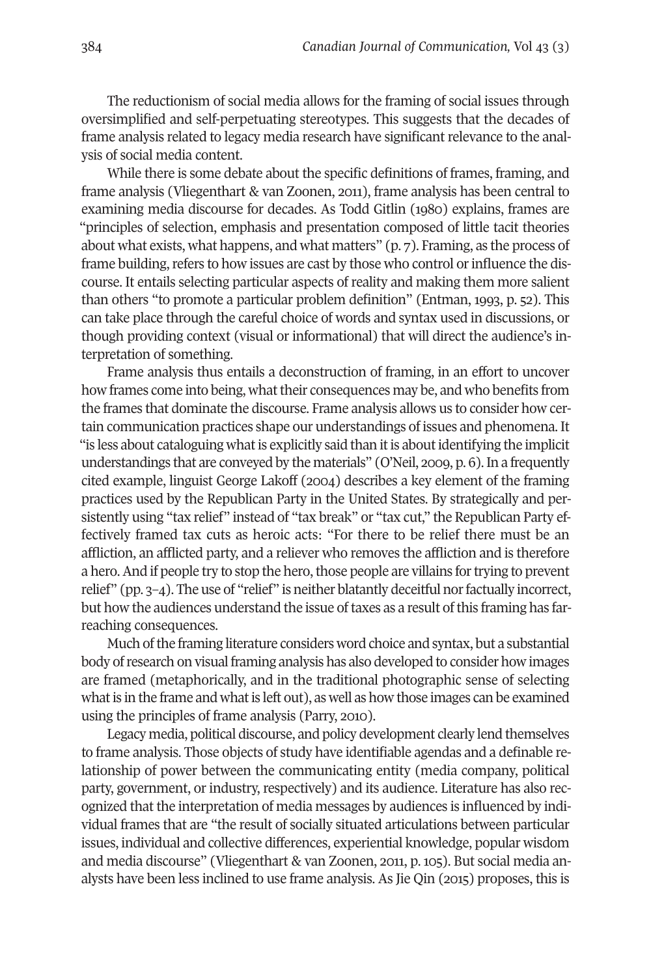The reductionism of social media allows for the framing of social issues through oversimplified and self-perpetuating stereotypes. This suggests that the decades of frame analysis related to legacy media research have significant relevance to the analysis of social media content.

While there is some debate about the specific definitions of frames, framing, and frame analysis (Vliegenthart & van Zoonen, 2011), frame analysis has been central to examining media discourse for decades. As Todd Gitlin (1980) explains, frames are "principles of selection, emphasis and presentation composed of little tacit theories about what exists, what happens, and what matters" (p. 7). Framing, as the process of frame building, refers to how issues are cast by those who control or influence the discourse. It entails selecting particular aspects of reality and making them more salient than others "to promote a particular problem definition" (Entman, 1993, p. 52). This can take place through the careful choice of words and syntax used in discussions, or though providing context (visual or informational) that will direct the audience's interpretation of something.

Frame analysis thus entails a deconstruction of framing, in an effort to uncover how frames come into being, what their consequences may be, and who benefits from the frames that dominate the discourse. Frame analysis allows us to consider how certain communication practices shape our understandings of issues and phenomena. It "is less about cataloguing what is explicitly said than it is about identifying the implicit understandings that are conveyed by the materials" (O'Neil, 2009, p. 6). In a frequently cited example, linguist George Lakoff (2004) describes a key element of the framing practices used by the Republican Party in the United States. By strategically and persistently using "tax relief" instead of "tax break" or "tax cut," the Republican Party effectively framed tax cuts as heroic acts: "For there to be relief there must be an affliction, an afflicted party, and a reliever who removes the affliction and is therefore a hero. And if people try to stop the hero, those people are villains for trying to prevent relief" (pp. 3–4). The use of "relief" is neither blatantly deceitful norfactually incorrect, but how the audiences understand the issue of taxes as a result of this framing has farreaching consequences.

Much of the framing literature considers word choice and syntax, but a substantial body ofresearch on visual framing analysis has also developed to consider how images are framed (metaphorically, and in the traditional photographic sense of selecting what is in the frame and what is left out), as well as how those images can be examined using the principles of frame analysis (Parry, 2010).

Legacy media, political discourse, and policy development clearly lend themselves to frame analysis. Those objects of study have identifiable agendas and a definable relationship of power between the communicating entity (media company, political party, government, or industry, respectively) and its audience. Literature has also recognized that the interpretation of media messages by audiences is influenced by individual frames that are "the result of socially situated articulations between particular issues, individual and collective differences, experiential knowledge, popular wisdom and media discourse" (Vliegenthart & van Zoonen, 2011, p. 105). But social media analysts have been less inclined to use frame analysis. As Jie Qin (2015) proposes, this is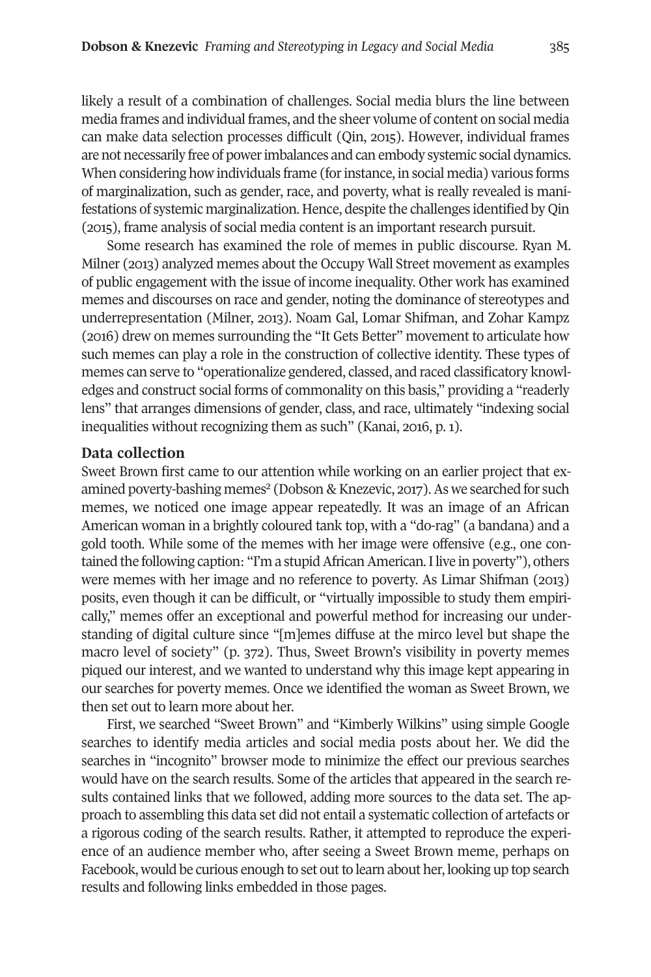likely a result of a combination of challenges. Social media blurs the line between media frames and individual frames, and the sheer volume of content on social media can make data selection processes difficult (Qin, 2015). However, individual frames are not necessarily free of powerimbalances and can embody systemic social dynamics. When considering how individuals frame (for instance, in social media) various forms of marginalization, such as gender, race, and poverty, what is really revealed is manifestations of systemic marginalization. Hence, despite the challenges identified by Qin (2015), frame analysis of social media content is an important research pursuit.

Some research has examined the role of memes in public discourse. Ryan M. Milner (2013) analyzed memes about the Occupy Wall Street movement as examples of public engagement with the issue of income inequality. Other work has examined memes and discourses on race and gender, noting the dominance of stereotypes and underrepresentation (Milner, 2013). Noam Gal, Lomar Shifman, and Zohar Kampz (2016) drew on memes surrounding the "It Gets Better" movement to articulate how such memes can play a role in the construction of collective identity. These types of memes can serve to "operationalize gendered, classed, and raced classificatory knowledges and construct social forms of commonality on this basis," providing a "readerly lens" that arranges dimensions of gender, class, and race, ultimately "indexing social inequalities without recognizing them as such" (Kanai, 2016, p. 1).

#### **Data collection**

Sweet Brown first came to our attention while working on an earlier project that examined poverty-bashing memes<sup>2</sup> (Dobson & Knezevic, 2017). As we searched for such memes, we noticed one image appear repeatedly. It was an image of an African American woman in a brightly coloured tank top, with a "do-rag" (a bandana) and a gold tooth. While some of the memes with her image were offensive (e.g., one contained the following caption: "I'm a stupid African American. I live in poverty"), others were memes with her image and no reference to poverty. As Limar Shifman (2013) posits, even though it can be difficult, or "virtually impossible to study them empirically," memes offer an exceptional and powerful method for increasing our understanding of digital culture since "[m]emes diffuse at the mirco level but shape the macro level of society" (p. 372). Thus, Sweet Brown's visibility in poverty memes piqued our interest, and we wanted to understand why this image kept appearing in our searches for poverty memes. Once we identified the woman as Sweet Brown, we then set out to learn more about her.

First, we searched "Sweet Brown" and "Kimberly Wilkins" using simple Google searches to identify media articles and social media posts about her. We did the searches in "incognito" browser mode to minimize the effect our previous searches would have on the search results. Some of the articles that appeared in the search results contained links that we followed, adding more sources to the data set. The approach to assembling this data set did not entail a systematic collection of artefacts or a rigorous coding of the search results. Rather, it attempted to reproduce the experience of an audience member who, after seeing a Sweet Brown meme, perhaps on Facebook, would be curious enough to set out to learn about her, looking up top search results and following links embedded in those pages.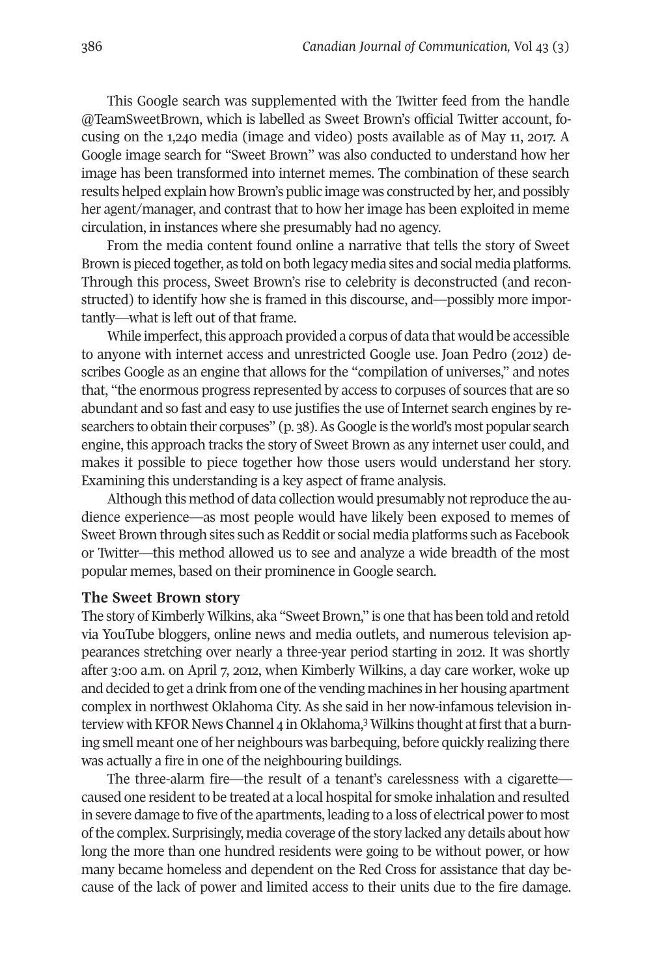This Google search was supplemented with the Twitter feed from the handle @TeamSweetBrown, which is labelled as Sweet Brown's official Twitter account, focusing on the 1,240 media (image and video) posts available as of May 11, 2017. A Google image search for "Sweet Brown" was also conducted to understand how her image has been transformed into internet memes. The combination of these search results helped explain how Brown's public image was constructed by her, and possibly her agent/manager, and contrast that to how her image has been exploited in meme circulation, in instances where she presumably had no agency.

From the media content found online a narrative that tells the story of Sweet Brown is pieced together, as told on both legacy media sites and social media platforms. Through this process, Sweet Brown's rise to celebrity is deconstructed (and reconstructed) to identify how she is framed in this discourse, and—possibly more importantly—what is left out of that frame.

While imperfect, this approach provided a corpus of data that would be accessible to anyone with internet access and unrestricted Google use. Joan Pedro (2012) describes Google as an engine that allows for the "compilation of universes," and notes that, "the enormous progress represented by access to corpuses of sources that are so abundant and so fast and easy to use justifies the use of Internet search engines by researchers to obtain their corpuses" (p. 38). As Google is the world's most popular search engine, this approach tracks the story of Sweet Brown as any internet user could, and makes it possible to piece together how those users would understand her story. Examining this understanding is a key aspect of frame analysis.

Although this method of data collection would presumably notreproduce the audience experience—as most people would have likely been exposed to memes of Sweet Brown through sites such as Reddit or social media platforms such as Facebook or Twitter—this method allowed us to see and analyze a wide breadth of the most popular memes, based on their prominence in Google search.

#### **The Sweet Brown story**

The story of Kimberly Wilkins, aka "Sweet Brown," is one that has been told and retold via YouTube bloggers, online news and media outlets, and numerous television appearances stretching over nearly a three-year period starting in 2012. It was shortly after 3:00 a.m. on April 7, 2012, when Kimberly Wilkins, a day care worker, woke up and decided to get a drink from one of the vending machines in her housing apartment complex in northwest Oklahoma City. As she said in her now-infamous television in-terview with KFOR News Channel 4 in Oklahoma,<sup>[3](#page-13-2)</sup> Wilkins thought at first that a burning smell meant one of her neighbours was barbequing, before quickly realizing there was actually a fire in one of the neighbouring buildings.

The three-alarm fire—the result of a tenant's carelessness with a cigarette caused one resident to be treated at a local hospital for smoke inhalation and resulted in severe damage to five of the apartments, leading to a loss of electrical power to most ofthe complex. Surprisingly, media coverage ofthe story lacked any details about how long the more than one hundred residents were going to be without power, or how many became homeless and dependent on the Red Cross for assistance that day because of the lack of power and limited access to their units due to the fire damage.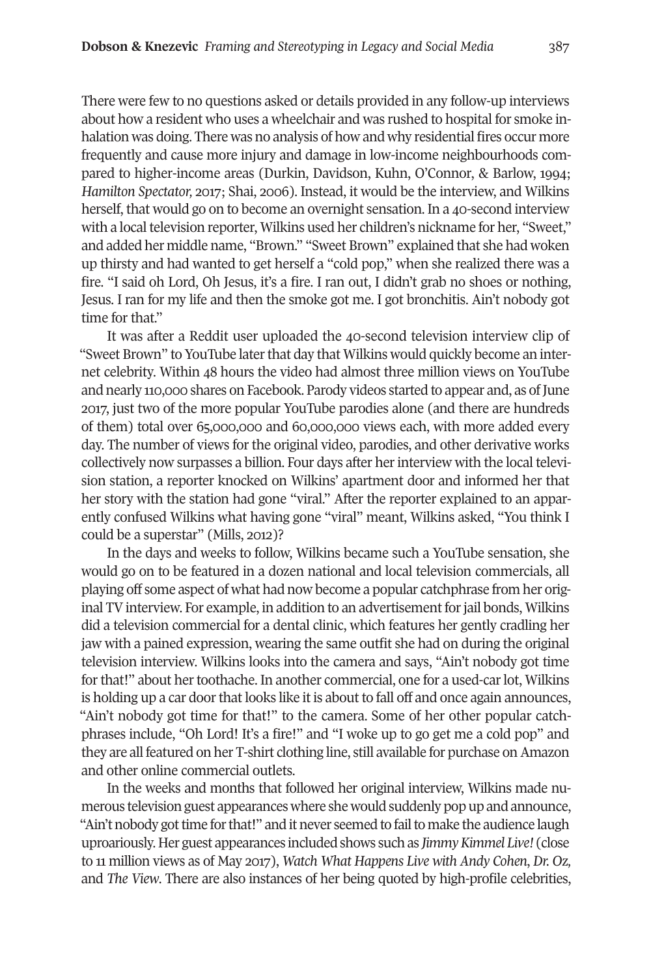There were few to no questions asked or details provided in any follow-up interviews about how a resident who uses a wheelchair and was rushed to hospital for smoke inhalation was doing. There was no analysis of how and why residential fires occur more frequently and cause more injury and damage in low-income neighbourhoods compared to higher-income areas (Durkin, Davidson, Kuhn, O'Connor, & Barlow, 1994; *Hamilton Spectator,* 2017; Shai, 2006). Instead, it would be the interview, and Wilkins herself, that would go on to become an overnight sensation. In a 40-second interview with a local television reporter, Wilkins used her children's nickname for her, "Sweet," and added her middle name, "Brown." "Sweet Brown" explained that she had woken up thirsty and had wanted to get herself a "cold pop," when she realized there was a fire. "I said oh Lord, Oh Jesus, it's a fire. I ran out, I didn't grab no shoes or nothing, Jesus. I ran for my life and then the smoke got me. I got bronchitis. Ain't nobody got time for that."

It was after a Reddit user uploaded the 40-second television interview clip of "Sweet Brown" to YouTube later that day that Wilkins would quickly become an internet celebrity. Within 48 hours the video had almost three million views on YouTube and nearly 110,000 shares on Facebook. Parody videos started to appear and, as ofJune 2017, just two of the more popular YouTube parodies alone (and there are hundreds of them) total over 65,000,000 and 60,000,000 views each, with more added every day. The number of views for the original video, parodies, and other derivative works collectively now surpasses a billion. Four days after herinterview with the local television station, a reporter knocked on Wilkins' apartment door and informed her that her story with the station had gone "viral." After the reporter explained to an apparently confused Wilkins what having gone "viral" meant, Wilkins asked, "You think I could be a superstar" (Mills, 2012)?

In the days and weeks to follow, Wilkins became such a YouTube sensation, she would go on to be featured in a dozen national and local television commercials, all playing off some aspect of what had now become a popular catchphrase from her original TV interview. For example, in addition to an advertisement for jail bonds, Wilkins did a television commercial for a dental clinic, which features her gently cradling her jaw with a pained expression, wearing the same outfit she had on during the original television interview. Wilkins looks into the camera and says, "Ain't nobody got time for that!" about her toothache. In another commercial, one for a used-car lot, Wilkins is holding up a car door that looks like it is about to fall off and once again announces, "Ain't nobody got time for that!" to the camera. Some of her other popular catchphrases include, "Oh Lord! It's a fire!" and "I woke up to go get me a cold pop" and they are all featured on her T-shirt clothing line, still available for purchase on Amazon and other online commercial outlets.

In the weeks and months that followed her original interview, Wilkins made numerous television guest appearances where she would suddenly pop up and announce, "Ain't nobody got time for that!" and it never seemed to fail to make the audience laugh uproariously. Her guest appearances included shows such as *JimmyKimmel Live!* (close to 11 million views as of May 2017), *Watch What Happens Live with Andy Cohen*, *Dr. Oz,* and *The View*. There are also instances of her being quoted by high-profile celebrities,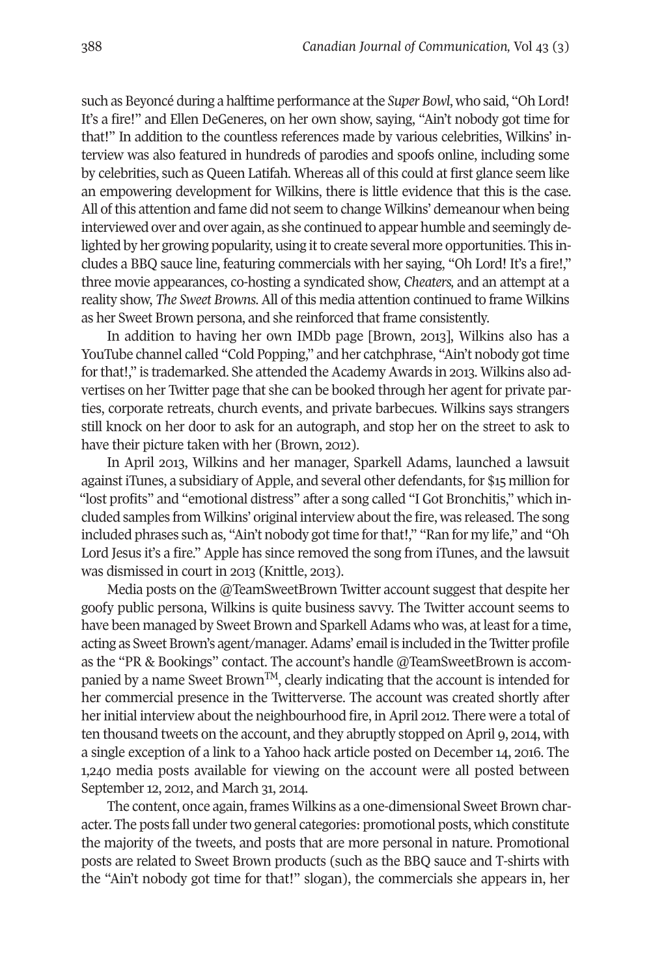such as Beyoncé during a halftime performance atthe *Super Bowl*, who said, "Oh Lord! It's a fire!" and Ellen DeGeneres, on her own show, saying, "Ain't nobody got time for that!" In addition to the countless references made by various celebrities, Wilkins' interview was also featured in hundreds of parodies and spoofs online, including some by celebrities, such as Queen Latifah. Whereas all of this could at first glance seem like an empowering development for Wilkins, there is little evidence that this is the case. All ofthis attention and fame did not seem to change Wilkins' demeanour when being interviewed over and over again, as she continued to appear humble and seemingly delighted by her growing popularity, using it to create several more opportunities. This includes a BBQ sauce line, featuring commercials with her saying, "Oh Lord! It's a fire!," three movie appearances, co-hosting a syndicated show, *Cheaters,* and an attempt at a reality show, *The Sweet Browns*. All of this media attention continued to frame Wilkins as her Sweet Brown persona, and she reinforced that frame consistently.

In addition to having her own IMDb page [Brown, 2013], Wilkins also has a YouTube channel called "Cold Popping," and her catchphrase, "Ain't nobody got time forthat!," is trademarked. She attended the Academy Awards in 2013. Wilkins also advertises on her Twitter page that she can be booked through her agent for private parties, corporate retreats, church events, and private barbecues. Wilkins says strangers still knock on her door to ask for an autograph, and stop her on the street to ask to have their picture taken with her (Brown, 2012).

In April 2013, Wilkins and her manager, Sparkell Adams, launched a lawsuit against iTunes, a subsidiary of Apple, and several other defendants, for \$15 million for "lost profits" and "emotional distress" after a song called "I Got Bronchitis," which included samples from Wilkins' original interview about the fire, was released. The song included phrases such as, "Ain't nobody gottime forthat!," "Ran for my life," and "Oh Lord Jesus it's a fire." Apple has since removed the song from iTunes, and the lawsuit was dismissed in court in 2013 (Knittle, 2013).

Media posts on the @TeamSweetBrown Twitter account suggest that despite her goofy public persona, Wilkins is quite business savvy. The Twitter account seems to have been managed by Sweet Brown and Sparkell Adams who was, at least for a time, acting as Sweet Brown's agent/manager.Adams' email is included in the Twitter profile as the "PR & Bookings" contact. The account's handle @TeamSweetBrown is accompanied by a name Sweet Brown<sup>TM</sup>, clearly indicating that the account is intended for her commercial presence in the Twitterverse. The account was created shortly after her initial interview about the neighbourhood fire, in April 2012. There were a total of ten thousand tweets on the account, and they abruptly stopped on April 9, 2014, with a single exception of a link to a Yahoo hack article posted on December 14, 2016. The 1,240 media posts available for viewing on the account were all posted between September 12, 2012, and March 31, 2014.

The content, once again, frames Wilkins as a one-dimensional Sweet Brown character. The posts fall under two general categories: promotional posts, which constitute the majority of the tweets, and posts that are more personal in nature. Promotional posts are related to Sweet Brown products (such as the BBQ sauce and T-shirts with the "Ain't nobody got time for that!" slogan), the commercials she appears in, her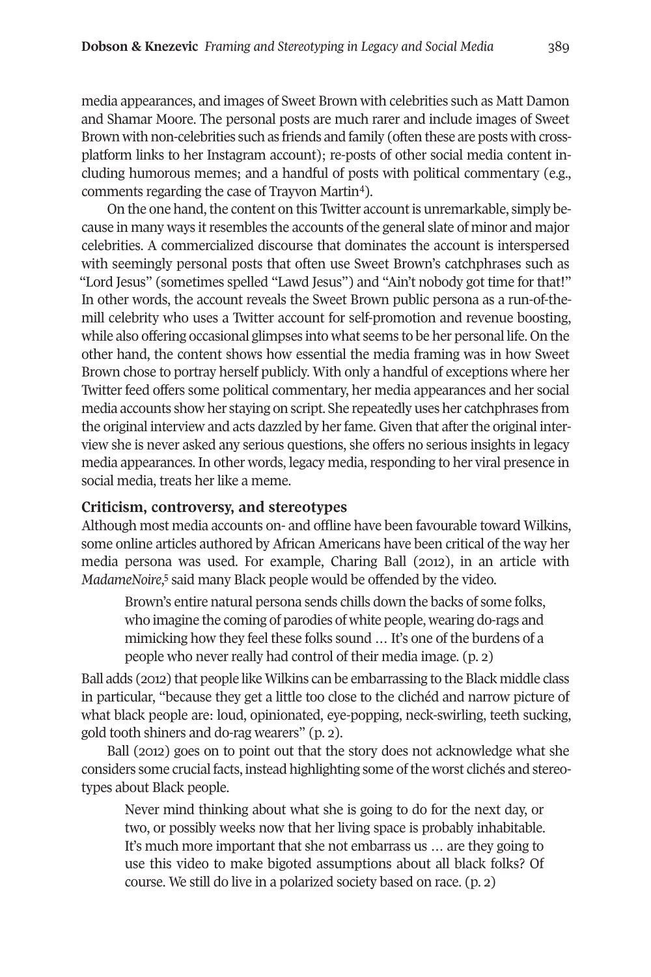media appearances, and images of Sweet Brown with celebrities such as Matt Damon and Shamar Moore. The personal posts are much rarer and include images of Sweet Brown with non-celebrities such as friends and family (often these are posts with crossplatform links to her Instagram account); re-posts of other social media content including humorous memes; and a handful of posts with political commentary (e.g., comments regarding the case of Trayvon Martin[4\)](#page-13-3).

On the one hand, the content on this Twitter account is unremarkable, simply because in many ways it resembles the accounts of the general slate of minor and major celebrities. A commercialized discourse that dominates the account is interspersed with seemingly personal posts that often use Sweet Brown's catchphrases such as "Lord Jesus" (sometimes spelled "Lawd Jesus") and "Ain't nobody got time for that!" In other words, the account reveals the Sweet Brown public persona as a run-of-themill celebrity who uses a Twitter account for self-promotion and revenue boosting, while also offering occasional glimpses into what seems to be her personal life. On the other hand, the content shows how essential the media framing was in how Sweet Brown chose to portray herself publicly. With only a handful of exceptions where her Twitter feed offers some political commentary, her media appearances and her social media accounts show her staying on script. She repeatedly uses her catchphrases from the original interview and acts dazzled by her fame. Given that after the original interview she is never asked any serious questions, she offers no serious insights in legacy media appearances. In other words, legacy media, responding to her viral presence in social media, treats her like a meme.

#### **Criticism, controversy, and stereotypes**

Although most media accounts on- and offline have been favourable toward Wilkins, some online articles authored by African Americans have been critical of the way her media persona was used. For example, Charing Ball (2012), in an article with *MadameNoire*, [5](#page-13-4) said many Black people would be offended by the video.

Brown's entire natural persona sends chills down the backs of some folks, who imagine the coming of parodies of white people, wearing do-rags and mimicking how they feel these folks sound … It's one of the burdens of a people who never really had control of their media image. (p. 2)

Ball adds (2012) that people like Wilkins can be embarrassing to the Black middle class in particular, "because they get a little too close to the clichéd and narrow picture of what black people are: loud, opinionated, eye-popping, neck-swirling, teeth sucking, gold tooth shiners and do-rag wearers" (p. 2).

Ball (2012) goes on to point out that the story does not acknowledge what she considers some crucial facts, instead highlighting some ofthe worst clichés and stereotypes about Black people.

Never mind thinking about what she is going to do for the next day, or two, or possibly weeks now that her living space is probably inhabitable. It's much more important that she not embarrass us … are they going to use this video to make bigoted assumptions about all black folks? Of course. We still do live in a polarized society based on race. (p. 2)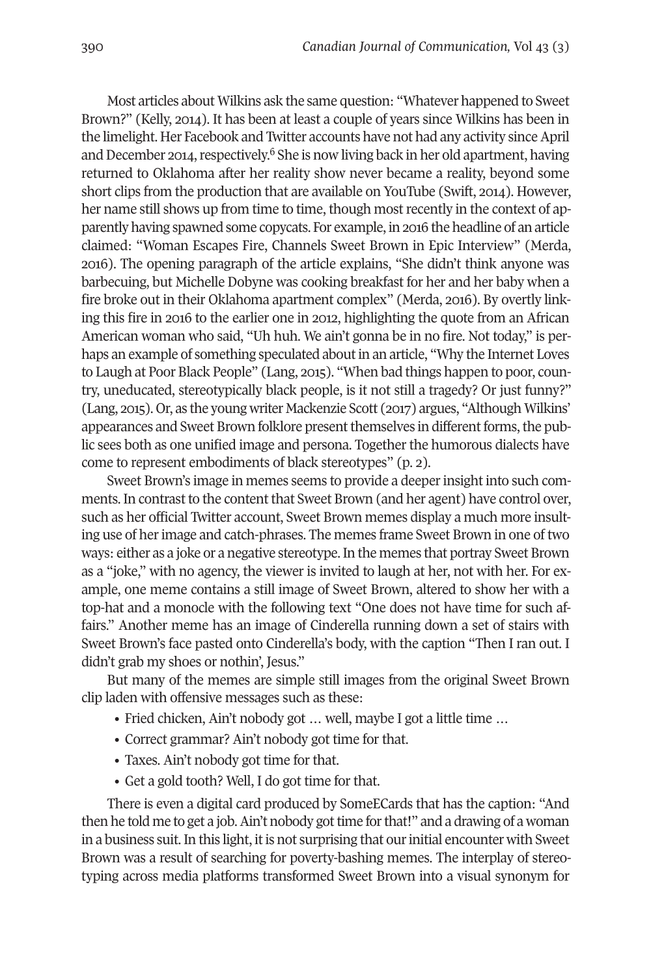Most articles about Wilkins ask the same question: "Whatever happened to Sweet Brown?" (Kelly, 2014). It has been at least a couple of years since Wilkins has been in the limelight. Her Facebook and Twitter accounts have not had any activity since April and December 2014, respectively.<sup>[6](#page-13-5)</sup> She is now living back in her old apartment, having returned to Oklahoma after her reality show never became a reality, beyond some short clips from the production that are available on YouTube (Swift, 2014). However, her name still shows up from time to time, though most recently in the context of apparently having spawned some copycats. For example, in 2016 the headline of an article claimed: "Woman Escapes Fire, Channels Sweet Brown in Epic Interview" (Merda, 2016). The opening paragraph of the article explains, "She didn't think anyone was barbecuing, but Michelle Dobyne was cooking breakfast for her and her baby when a fire broke out in their Oklahoma apartment complex" (Merda, 2016). By overtly linking this fire in 2016 to the earlier one in 2012, highlighting the quote from an African American woman who said, "Uh huh. We ain't gonna be in no fire. Not today," is perhaps an example of something speculated about in an article, "Why the Internet Loves to Laugh at Poor Black People" (Lang, 2015). "When bad things happen to poor, country, uneducated, stereotypically black people, is it not still a tragedy? Or just funny?" (Lang, 2015). Or, as the young writer Mackenzie Scott (2017) argues, "Although Wilkins' appearances and Sweet Brown folklore present themselves in different forms, the public sees both as one unified image and persona. Together the humorous dialects have come to represent embodiments of black stereotypes" (p. 2).

Sweet Brown's image in memes seems to provide a deeper insight into such comments. In contrast to the content that Sweet Brown (and her agent) have control over, such as her official Twitter account, Sweet Brown memes display a much more insulting use of herimage and catch-phrases. The memes frame Sweet Brown in one of two ways: either as a joke or a negative stereotype.In the memes that portray Sweet Brown as a "joke," with no agency, the viewer is invited to laugh at her, not with her. For example, one meme contains a still image of Sweet Brown, altered to show her with a top-hat and a monocle with the following text "One does not have time for such affairs." Another meme has an image of Cinderella running down a set of stairs with Sweet Brown's face pasted onto Cinderella's body, with the caption "Then I ran out. I didn't grab my shoes or nothin', Jesus."

But many of the memes are simple still images from the original Sweet Brown clip laden with offensive messages such as these:

- Fried chicken, Ain't nobody got … well, maybe I got a little time …
- Correct grammar? Ain't nobody got time for that.
- Taxes. Ain't nobody got time for that.
- Get a gold tooth? Well, I do got time for that.

There is even a digital card produced by SomeECards that has the caption: "And then he told me to get a job. Ain't nobody got time for that!" and a drawing of a woman in a business suit. In this light, it is not surprising that our initial encounter with Sweet Brown was a result of searching for poverty-bashing memes. The interplay of stereotyping across media platforms transformed Sweet Brown into a visual synonym for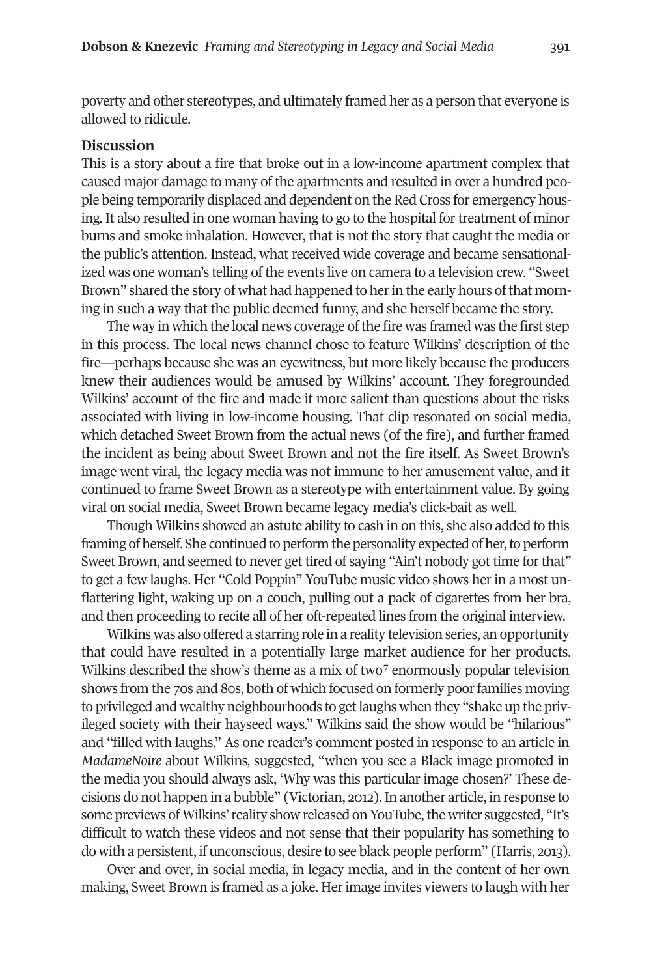poverty and other stereotypes, and ultimately framed her as a person that everyone is allowed to ridicule.

#### **Discussion**

This is a story about a fire that broke out in a low-income apartment complex that caused major damage to many of the apartments and resulted in over a hundred people being temporarily displaced and dependent on the Red Cross for emergency housing. It also resulted in one woman having to go to the hospital for treatment of minor burns and smoke inhalation. However, that is not the story that caught the media or the public's attention. Instead, what received wide coverage and became sensationalized was one woman's telling of the events live on camera to a television crew. "Sweet Brown" shared the story of what had happened to her in the early hours of that morning in such a way that the public deemed funny, and she herself became the story.

The way in which the local news coverage of the fire was framed was the first step in this process. The local news channel chose to feature Wilkins' description of the fire—perhaps because she was an eyewitness, but more likely because the producers knew their audiences would be amused by Wilkins' account. They foregrounded Wilkins' account of the fire and made it more salient than questions about the risks associated with living in low-income housing. That clip resonated on social media, which detached Sweet Brown from the actual news (of the fire), and further framed the incident as being about Sweet Brown and not the fire itself. As Sweet Brown's image went viral, the legacy media was not immune to her amusement value, and it continued to frame Sweet Brown as a stereotype with entertainment value. By going viral on social media, Sweet Brown became legacy media's click-bait as well.

Though Wilkins showed an astute ability to cash in on this, she also added to this framing of herself. She continued to perform the personality expected of her, to perform Sweet Brown, and seemed to never get tired of saying "Ain't nobody got time forthat" to get a few laughs. Her "Cold Poppin" YouTube music video shows her in a most unflattering light, waking up on a couch, pulling out a pack of cigarettes from her bra, and then proceeding to recite all of her oft-repeated lines from the original interview.

Wilkins was also offered a starring role in a reality television series, an opportunity that could have resulted in a potentially large market audience for her products. Wilkins described the show's theme as a mix of two<sup>[7](#page-13-6)</sup> enormously popular television shows from the 70s and 80s, both of which focused on formerly poor families moving to privileged and wealthy neighbourhoods to getlaughs when they "shake up the privileged society with their hayseed ways." Wilkins said the show would be "hilarious" and "filled with laughs." As one reader's comment posted in response to an article in *MadameNoire* about Wilkins*,* suggested, "when you see a Black image promoted in the media you should always ask, 'Why was this particular image chosen?' These decisions do not happen in a bubble" (Victorian, 2012). In another article, in response to some previews of Wilkins' reality show released on YouTube, the writer suggested, "It's difficult to watch these videos and not sense that their popularity has something to do with a persistent, if unconscious, desire to see black people perform" (Harris, 2013).

Over and over, in social media, in legacy media, and in the content of her own making, Sweet Brown is framed as a joke. Herimage invites viewers to laugh with her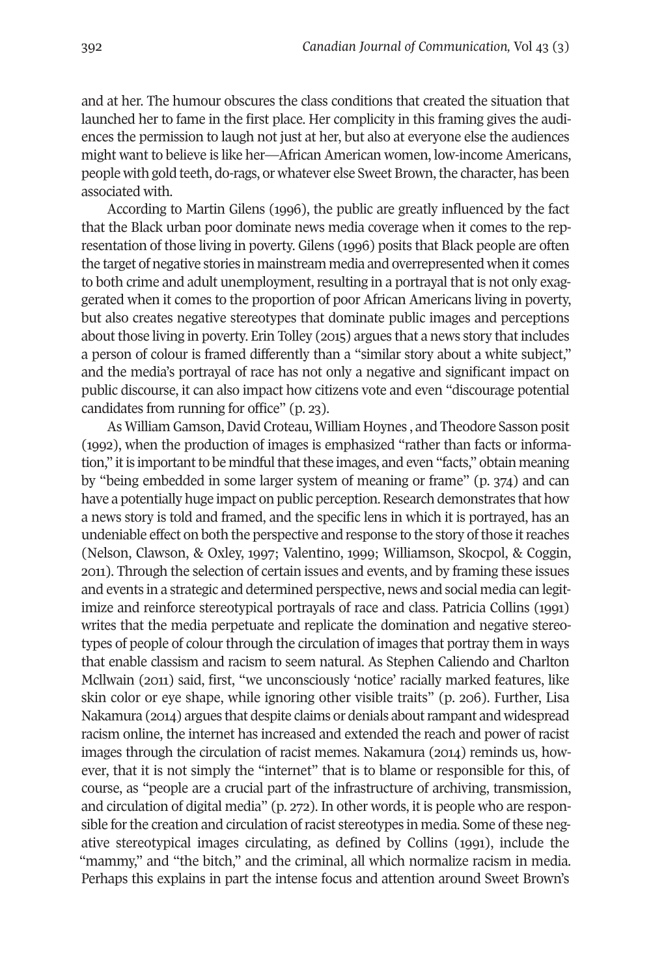and at her. The humour obscures the class conditions that created the situation that launched her to fame in the first place. Her complicity in this framing gives the audiences the permission to laugh not just at her, but also at everyone else the audiences might want to believe is like her—African American women, low-income Americans, people with gold teeth, do-rags, or whatever else Sweet Brown, the character, has been associated with.

According to Martin Gilens (1996), the public are greatly influenced by the fact that the Black urban poor dominate news media coverage when it comes to the representation of those living in poverty. Gilens (1996) posits that Black people are often the target of negative stories in mainstream media and overrepresented when it comes to both crime and adult unemployment, resulting in a portrayal that is not only exaggerated when it comes to the proportion of poor African Americans living in poverty, but also creates negative stereotypes that dominate public images and perceptions about those living in poverty. Erin Tolley (2015) argues that a news story that includes a person of colour is framed differently than a "similar story about a white subject," and the media's portrayal of race has not only a negative and significant impact on public discourse, it can also impact how citizens vote and even "discourage potential candidates from running for office" (p. 23).

As William Gamson, David Croteau, William Hoynes, and Theodore Sasson posit (1992), when the production of images is emphasized "rather than facts or information," it is important to be mindful that these images, and even "facts," obtain meaning by "being embedded in some larger system of meaning or frame" (p. 374) and can have a potentially huge impact on public perception. Research demonstrates that how a news story is told and framed, and the specific lens in which it is portrayed, has an undeniable effect on both the perspective and response to the story of those it reaches (Nelson, Clawson, & Oxley, 1997; Valentino, 1999; Williamson, Skocpol, & Coggin, 2011). Through the selection of certain issues and events, and by framing these issues and events in a strategic and determined perspective, news and social media can legitimize and reinforce stereotypical portrayals of race and class. Patricia Collins (1991) writes that the media perpetuate and replicate the domination and negative stereotypes of people of colourthrough the circulation of images that portray them in ways that enable classism and racism to seem natural. As Stephen Caliendo and Charlton Mcllwain (2011) said, first, "we unconsciously 'notice' racially marked features, like skin color or eye shape, while ignoring other visible traits" (p. 206). Further, Lisa Nakamura (2014) argues that despite claims or denials aboutrampant and widespread racism online, the internet has increased and extended the reach and power of racist images through the circulation of racist memes. Nakamura (2014) reminds us, however, that it is not simply the "internet" that is to blame or responsible for this, of course, as "people are a crucial part of the infrastructure of archiving, transmission, and circulation of digital media" (p. 272). In other words, it is people who are responsible for the creation and circulation of racist stereotypes in media. Some of these negative stereotypical images circulating, as defined by Collins (1991), include the "mammy," and "the bitch," and the criminal, all which normalize racism in media. Perhaps this explains in part the intense focus and attention around Sweet Brown's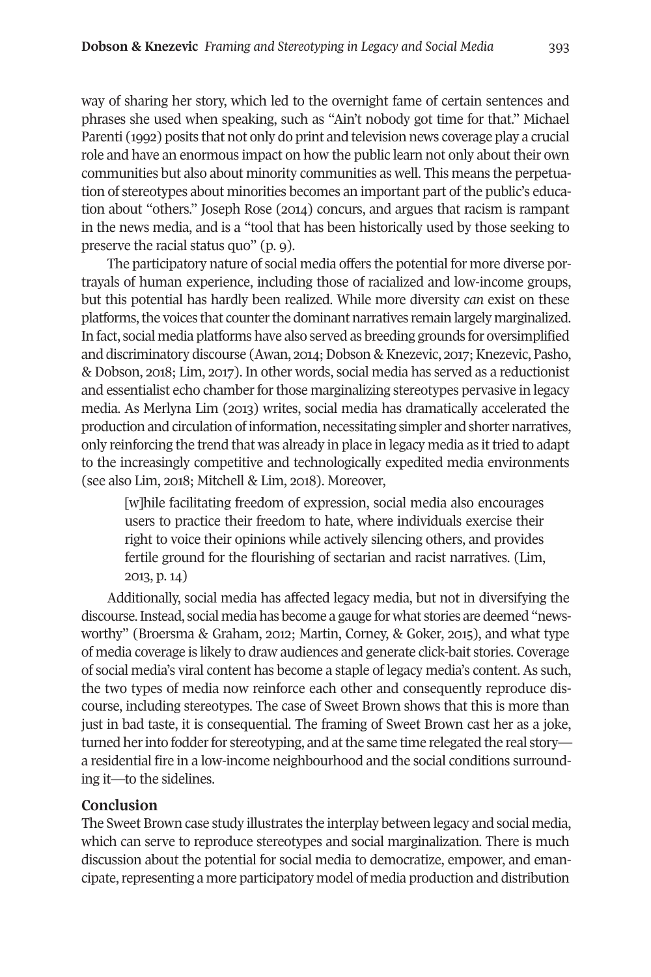way of sharing her story, which led to the overnight fame of certain sentences and phrases she used when speaking, such as "Ain't nobody got time for that." Michael Parenti (1992) posits that not only do print and television news coverage play a crucial role and have an enormous impact on how the public learn not only about their own communities but also about minority communities as well. This means the perpetuation of stereotypes about minorities becomes an important part of the public's education about "others." Joseph Rose (2014) concurs, and argues that racism is rampant in the news media, and is a "tool that has been historically used by those seeking to preserve the racial status quo" (p. 9).

The participatory nature of social media offers the potential for more diverse portrayals of human experience, including those of racialized and low-income groups, but this potential has hardly been realized. While more diversity *can* exist on these platforms, the voices that counter the dominant narratives remain largely marginalized. In fact, social media platforms have also served as breeding grounds for oversimplified and discriminatory discourse (Awan, 2014; Dobson & Knezevic, 2017; Knezevic, Pasho, & Dobson, 2018; Lim, 2017). In other words, social media has served as a reductionist and essentialist echo chamber for those marginalizing stereotypes pervasive in legacy media. As Merlyna Lim (2013) writes, social media has dramatically accelerated the production and circulation of information, necessitating simpler and shorter narratives, only reinforcing the trend that was already in place in legacy media as it tried to adapt to the increasingly competitive and technologically expedited media environments (see also Lim, 2018; Mitchell & Lim, 2018). Moreover,

[w]hile facilitating freedom of expression, social media also encourages users to practice their freedom to hate, where individuals exercise their right to voice their opinions while actively silencing others, and provides fertile ground for the flourishing of sectarian and racist narratives. (Lim, 2013, p. 14)

Additionally, social media has affected legacy media, but not in diversifying the discourse.Instead, social media has become a gauge for what stories are deemed "newsworthy" (Broersma & Graham, 2012; Martin, Corney, & Goker, 2015), and what type of media coverage is likely to draw audiences and generate click-bait stories. Coverage of social media's viral content has become a staple of legacy media's content. As such, the two types of media now reinforce each other and consequently reproduce discourse, including stereotypes. The case of Sweet Brown shows that this is more than just in bad taste, it is consequential. The framing of Sweet Brown cast her as a joke, turned her into fodder for stereotyping, and at the same time relegated the real story a residential fire in a low-income neighbourhood and the social conditions surrounding it—to the sidelines.

# **Conclusion**

The Sweet Brown case study illustrates the interplay between legacy and social media, which can serve to reproduce stereotypes and social marginalization. There is much discussion about the potential for social media to democratize, empower, and emancipate, representing a more participatory model of media production and distribution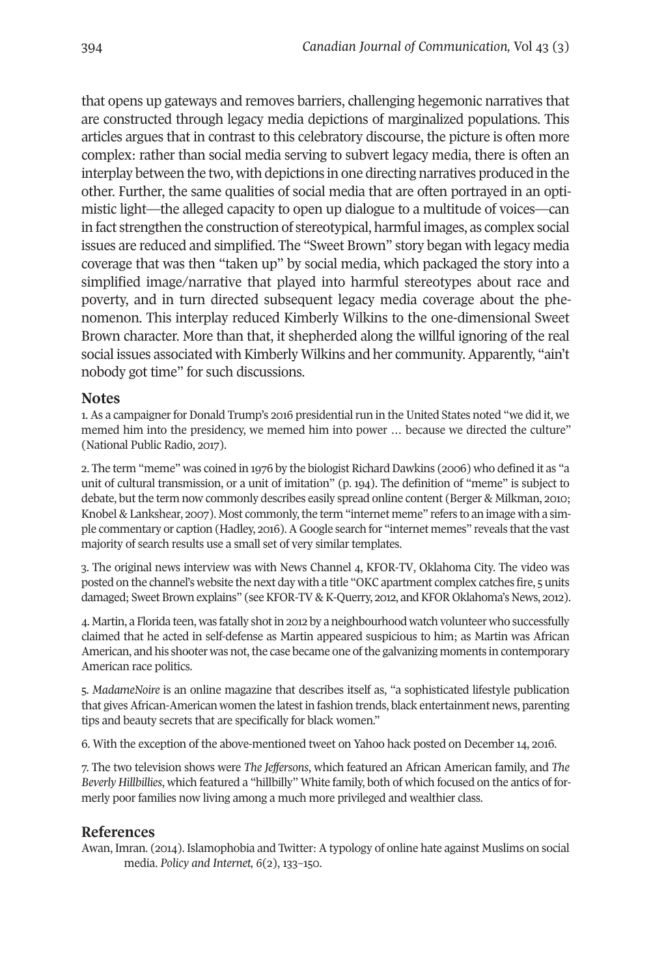that opens up gateways and removes barriers, challenging hegemonic narratives that are constructed through legacy media depictions of marginalized populations. This articles argues that in contrast to this celebratory discourse, the picture is often more complex: rather than social media serving to subvert legacy media, there is often an interplay between the two, with depictions in one directing narratives produced in the other. Further, the same qualities of social media that are often portrayed in an optimistic light—the alleged capacity to open up dialogue to a multitude of voices—can in fact strengthen the construction of stereotypical, harmful images, as complex social issues are reduced and simplified. The "Sweet Brown" story began with legacy media coverage that was then "taken up" by social media, which packaged the story into a simplified image/narrative that played into harmful stereotypes about race and poverty, and in turn directed subsequent legacy media coverage about the phenomenon. This interplay reduced Kimberly Wilkins to the one-dimensional Sweet Brown character. More than that, it shepherded along the willful ignoring of the real social issues associated with Kimberly Wilkins and her community. Apparently, "ain't nobody got time" for such discussions.

## **Notes**

<span id="page-13-0"></span>1. As a campaigner for Donald Trump's 2016 presidential run in the United States noted "we did it, we memed him into the presidency, we memed him into power … because we directed the culture" (National Public Radio, 2017).

<span id="page-13-1"></span>2. The term "meme" was coined in 1976 by the biologist Richard Dawkins (2006) who defined it as "a unit of cultural transmission, or a unit of imitation" (p. 194). The definition of "meme" is subject to debate, but the term now commonly describes easily spread online content (Berger & Milkman, 2010; Knobel & Lankshear, 2007). Most commonly, the term "internet meme" refers to an image with a simple commentary or caption (Hadley, 2016). A Google search for "internet memes" reveals that the vast majority of search results use a small set of very similar templates.

<span id="page-13-2"></span>3. The original news interview was with News Channel 4, KFOR-TV, Oklahoma City. The video was posted on the channel's website the next day with a title "OKC apartment complex catches fire, 5 units damaged; Sweet Brown explains" (see KFOR-TV & K-Querry, 2012, and KFOR Oklahoma's News, 2012).

<span id="page-13-3"></span>4. Martin, a Florida teen, was fatally shot in 2012 by a neighbourhood watch volunteer who successfully claimed that he acted in self-defense as Martin appeared suspicious to him; as Martin was African American, and his shooter was not, the case became one of the galvanizing moments in contemporary American race politics.

<span id="page-13-4"></span>5. *MadameNoire* is an online magazine that describes itself as, "a sophisticated lifestyle publication that gives African-American women the latest in fashion trends, black entertainment news, parenting tips and beauty secrets that are specifically for black women."

<span id="page-13-5"></span>6. With the exception of the above-mentioned tweet on Yahoo hack posted on December 14, 2016.

<span id="page-13-6"></span>7. The two television shows were *The Jeffersons*, which featured an African American family, and *The Beverly Hillbillies*, which featured a "hillbilly" White family, both of which focused on the antics of formerly poor families now living among a much more privileged and wealthier class.

# **References**

Awan, Imran. (2014). Islamophobia and Twitter: A typology of online hate against Muslims on social media. *Policy and Internet, 6*(2), 133–150.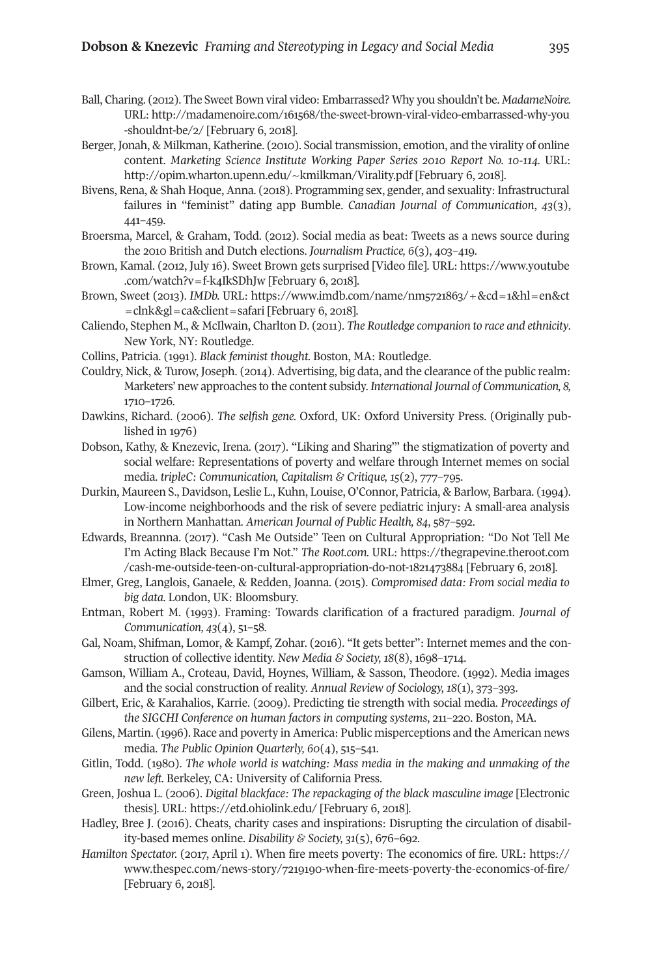- Ball, Charing. (2012). The Sweet Bown viral video: Embarrassed? Why you shouldn't be. *MadameNoire.* URL: [http://madamenoire.com/161568/the-sweet-brown-viral-video-embarrassed-why-you](http://madamenoire.com/161568/the-sweet-brown-viral-video-embarrassed-why-you-shouldnt-be/2) [-shouldnt-be/2/](http://madamenoire.com/161568/the-sweet-brown-viral-video-embarrassed-why-you-shouldnt-be/2) [February 6, 2018].
- Berger, Jonah, & Milkman, Katherine. (2010). Social transmission, emotion, and the virality of online content. *Marketing Science Institute Working Paper Series 2010 Report No. 10-114.* URL: <http://opim.wharton.upenn.edu/~kmilkman/Virality.pdf> [February 6, 2018].
- Bivens, Rena, & Shah Hoque, Anna. (2018). Programming sex, gender, and sexuality: Infrastructural failures in "feminist" dating app Bumble. *Canadian Journal of Communication*, *43*(3), 441–459.
- Broersma, Marcel, & Graham, Todd. (2012). Social media as beat: Tweets as a news source during the 2010 British and Dutch elections. *Journalism Practice, 6*(3), 403–419.
- Brown, Kamal. (2012, July 16). Sweet Brown gets surprised [Video file]. URL: [https://www.youtube](https://www.youtube.com/watch?v=f-k4IkSDhJ) [.com/watch?v=f-k4IkSDhJw](https://www.youtube.com/watch?v=f-k4IkSDhJ) [February 6, 2018].
- Brown, Sweet (2013). *IMDb.* URL: [https://www.imdb.com/name/nm5721863/+&cd=1&hl=en&ct](https://www.imdb.com/name/nm5721863/+&cd=1&hl=en&ct=clnk&gl=ca&client=safari) [=clnk&gl=ca&client=safari](https://www.imdb.com/name/nm5721863/+&cd=1&hl=en&ct=clnk&gl=ca&client=safari) [February 6, 2018].
- Caliendo, Stephen M., & McIlwain, Charlton D. (2011). *The Routledge companion to race and ethnicity*. New York, NY: Routledge.
- Collins, Patricia. (1991). *Black feminist thought.* Boston, MA: Routledge.
- Couldry, Nick, & Turow, Joseph. (2014). Advertising, big data, and the clearance of the public realm: Marketers' new approaches to the content subsidy. *International Journal of Communication, 8,* 1710–1726.
- Dawkins, Richard. (2006). *The selfish gene.* Oxford, UK: Oxford University Press. (Originally published in 1976)
- Dobson, Kathy, & Knezevic, Irena. (2017). "Liking and Sharing'" the stigmatization of poverty and social welfare: Representations of poverty and welfare through Internet memes on social media. *tripleC: Communication, Capitalism & Critique, 15*(2), 777–795.
- Durkin, Maureen S., Davidson, Leslie L., Kuhn, Louise, O'Connor, Patricia, & Barlow, Barbara. (1994). Low-income neighborhoods and the risk of severe pediatric injury: A small-area analysis in Northern Manhattan*. American Journal of Public Health, 84*, 587–592.
- Edwards, Breannna. (2017). "Cash Me Outside" Teen on Cultural Appropriation: "Do Not Tell Me I'm Acting Black Because I'm Not." *The Root.com.* URL: [https://thegrapevine.theroot.com](https://thegrapevine.theroot.com/cash-me-outside-teen-on-cultural-appropriation-do-not-1821473884) [/cash-me-outside-teen-on-cultural-appropriation-do-not-1821473884](https://thegrapevine.theroot.com/cash-me-outside-teen-on-cultural-appropriation-do-not-1821473884) [February 6, 2018].
- Elmer, Greg, Langlois, Ganaele, & Redden, Joanna. (2015). *Compromised data: From social media to big data.* London, UK: Bloomsbury.
- Entman, Robert M. (1993). Framing: Towards clarification of a fractured paradigm. *Journal of Communication, 43*(4), 51–58.
- Gal, Noam, Shifman, Lomor, & Kampf, Zohar. (2016). "It gets better": Internet memes and the construction of collective identity. *New Media & Society, 18*(8), 1698–1714.
- Gamson, William A., Croteau, David, Hoynes, William, & Sasson, Theodore. (1992). Media images and the social construction of reality. *Annual Review of Sociology, 18*(1), 373–393.
- Gilbert, Eric, & Karahalios, Karrie. (2009). Predicting tie strength with social media. *Proceedings of the SIGCHI Conference on human factors in computing systems*, 211–220. Boston, MA.
- Gilens, Martin. (1996). Race and poverty in America: Public misperceptions and the American news media. *The Public Opinion Quarterly, 60*(4), 515–541.
- Gitlin, Todd. (1980). *The whole world is watching: Mass media in the making and unmaking of the new left.* Berkeley, CA: University of California Press.
- Green, Joshua L. (2006). *Digital blackface: The repackaging of the black masculine image* [Electronic thesis]. URL: [https://etd.ohiolink.edu/](https://etd.ohiolink.edu) [February 6, 2018].
- Hadley, Bree J. (2016). Cheats, charity cases and inspirations: Disrupting the circulation of disability-based memes online. *Disability & Society, 31*(5), 676–692.
- *Hamilton Spectator.* (2017, April 1). When fire meets poverty: The economics of fire. URL: [https://](https://www.thespec.com/news-story/7219190-when-fire-meets-poverty-the-economics-of-fire/) [www.thespec.com/news-story/7219190-when-fire-meets-poverty-the-economics-of-fire/](https://www.thespec.com/news-story/7219190-when-fire-meets-poverty-the-economics-of-fire/) [February 6, 2018].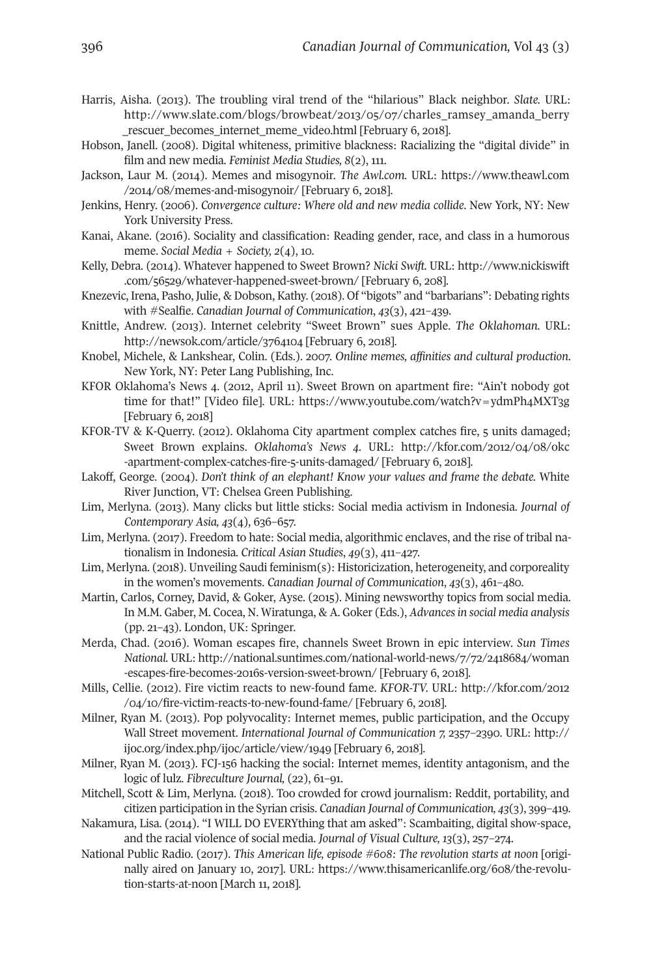- Harris, Aisha. (2013). The troubling viral trend of the "hilarious" Black neighbor. *Slate.* URL: [http://www.slate.com/blogs/browbeat/2013/05/07/charles\\_ramsey\\_amanda\\_berry](http://www.slate.com/blogs/browbeat/2013/05/07/charles_ramsey_amanda_berry_rescuer_becomes_internet_meme_video.html) [\\_rescuer\\_becomes\\_internet\\_meme\\_video.html](http://www.slate.com/blogs/browbeat/2013/05/07/charles_ramsey_amanda_berry_rescuer_becomes_internet_meme_video.html) [February 6, 2018].
- Hobson, Janell. (2008). Digital whiteness, primitive blackness: Racializing the "digital divide" in film and new media. *Feminist Media Studies, 8*(2), 111.
- Jackson, Laur M. (2014). Memes and misogynoir. *The Awl.com.* URL: [https://www.theawl.com](https://www.theawl.com/2014/08/memes-and-misogynoir/) [/2014/08/memes-and-misogynoir/](https://www.theawl.com/2014/08/memes-and-misogynoir/) [February 6, 2018].
- Jenkins, Henry. (2006). *Convergence culture: Where old and new media collide*. New York, NY: New York University Press.
- Kanai, Akane. (2016). Sociality and classification: Reading gender, race, and class in a humorous meme. *Social Media + Society, 2*(4), 10.
- Kelly, Debra. (2014). Whatever happened to Sweet Brown? *Nicki Swift.* URL: [http://www.nickiswift](http://www.nickiswift.com/56529/whatever-happened-sweet-brown/) [.com/56529/whatever-happened-sweet-brown/](http://www.nickiswift.com/56529/whatever-happened-sweet-brown/) [February 6, 208].
- Knezevic, Irena, Pasho, Julie, & Dobson, Kathy. (2018). Of "bigots" and "barbarians": Debating rights with #Sealfie. *Canadian Journal of Communication*, *43*(3), 421–439.
- Knittle, Andrew. (2013). Internet celebrity "Sweet Brown" sues Apple. *The Oklahoman.* URL: <http://newsok.com/article/3764104> [February 6, 2018].
- Knobel, Michele, & Lankshear, Colin. (Eds.). 2007. *Online memes, affinities and cultural production*. New York, NY: Peter Lang Publishing, Inc.
- KFOR Oklahoma's News 4. (2012, April 11). Sweet Brown on apartment fire: "Ain't nobody got time for that!" [Video file]. URL: <https://www.youtube.com/watch?v=ydmPh4MXT3g> [February 6, 2018]
- KFOR-TV & K-Querry. (2012). Oklahoma City apartment complex catches fire, 5 units damaged; Sweet Brown explains. *Oklahoma's News 4.* URL: [http://kfor.com/2012/04/08/okc](http://kfor.com/2012/04/08/okc-apartment-complex-catches-fire-5-units-damaged/) [-apartment-complex-catches-fire-5-units-damaged/](http://kfor.com/2012/04/08/okc-apartment-complex-catches-fire-5-units-damaged/) [February 6, 2018].
- Lakoff, George. (2004). *Don't think of an elephant! Know your values and frame the debate.* White River Junction, VT: Chelsea Green Publishing.
- Lim, Merlyna. (2013). Many clicks but little sticks: Social media activism in Indonesia. *Journal of Contemporary Asia, 43*(4), 636–657.
- Lim, Merlyna. (2017). Freedom to hate: Social media, algorithmic enclaves, and the rise of tribal nationalism in Indonesia*. Critical Asian Studies*, *49*(3), 411–427.
- Lim, Merlyna. (2018). Unveiling Saudi feminism(s): Historicization, heterogeneity, and corporeality in the women's movements. *Canadian Journal of Communication*, *43*(3), 461–480.
- Martin, Carlos, Corney, David, & Goker, Ayse. (2015). Mining newsworthy topics from social media. In M.M. Gaber, M. Cocea, N. Wiratunga, & A. Goker (Eds.), *Advancesin social media analysis* (pp. 21–43). London, UK: Springer.
- Merda, Chad. (2016). Woman escapes fire, channels Sweet Brown in epic interview. *Sun Times National.* URL: [http://national.suntimes.com/national-world-news/7/72/2418684/woman](http://national.suntimes.com/national-world-news/7/72/2418684/woman-escapes-fire-becomes-2016s-version-sweet-brown) [-escapes-fire-becomes-2016s-version-sweet-brown/](http://national.suntimes.com/national-world-news/7/72/2418684/woman-escapes-fire-becomes-2016s-version-sweet-brown) [February 6, 2018].
- Mills, Cellie. (2012). Fire victim reacts to new-found fame. *KFOR-TV.* URL: [http://kfor.com/2012](http://kfor.com/2012/04/10/fire-victim-reacts-to-new-found-fame/) [/04/10/fire-victim-reacts-to-new-found-fame/](http://kfor.com/2012/04/10/fire-victim-reacts-to-new-found-fame/) [February 6, 2018].
- Milner, Ryan M. (2013). Pop polyvocality: Internet memes, public participation, and the Occupy Wall Street movement. *International Journal of Communication 7,* 2357–2390. URL: [http://](http://ijoc.org/index.php/ijoc/article/view/1949) [ijoc.org/index.php/ijoc/article/view/1949](http://ijoc.org/index.php/ijoc/article/view/1949) [February 6, 2018].
- Milner, Ryan M. (2013). FCJ-156 hacking the social: Internet memes, identity antagonism, and the logic of lulz. *Fibreculture Journal,* (22), 61–91.
- Mitchell, Scott & Lim, Merlyna. (2018). Too crowded for crowd journalism: Reddit, portability, and citizen participation in the Syrian crisis. *Canadian Journal of Communication, 43*(3), 399–419*.*
- Nakamura, Lisa. (2014). "I WILL DO EVERYthing that am asked": Scambaiting, digital show-space, and the racial violence of social media. *Journal of Visual Culture, 13*(3), 257–274.
- National Public Radio. (2017). *This American life, episode #608: The revolution starts at noon* [originally aired on January 10, 2017]. URL: [https://www.thisamericanlife.org/608/the-revolu](https://www.thisamericanlife.org/608/the-revolution-starts-at-noon)[tion-starts-at-noon](https://www.thisamericanlife.org/608/the-revolution-starts-at-noon) [March 11, 2018].